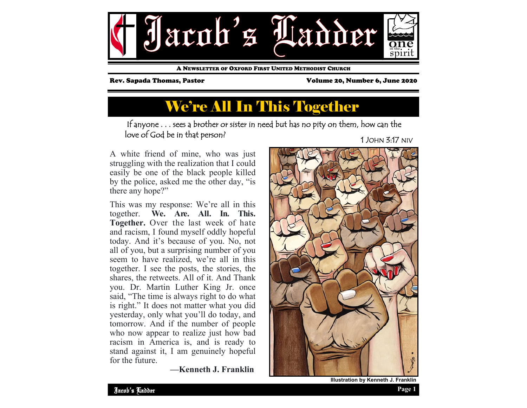

A NEWSLETTER OF OXFORD FIRST UNITED METHODIST CHURCH

Rev. Sapada Thomas, Pastor Volume 20, Number 6, June 2020

# We're All In This Together

If anyone . . . sees a brother or sister in need but has no pity on them, how can the love of God be in that person? 1 JOHN 3:17 NIV

A white friend of mine, who was just struggling with the realization that I could easily be one of the black people killed by the police, asked me the other day, "is there any hope?"

This was my response: We're all in this together. **We. Are. All. In. This. Together.** Over the last week of hate and racism, I found myself oddly hopeful today. And it's because of you. No, not all of you, but a surprising number of you seem to have realized, we're all in this together. I see the posts, the stories, the shares, the retweets. All of it. And Thank you. Dr. Martin Luther King Jr. once said, "The time is always right to do what is right." It does not matter what you did yesterday, only what you'll do today, and tomorrow. And if the number of people who now appear to realize just how bad racism in America is, and is ready to stand against it, I am genuinely hopeful for the future.

 **—Kenneth J. Franklin** 



**Illustration by Kenneth J. Franklin**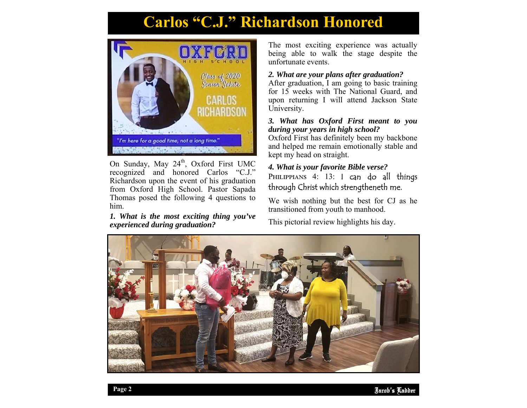## **Carlos "C.J." Richardson Honored**



On Sunday, May 24<sup>th</sup>, Oxford First UMC recognized and honored Carlos "C.J." Richardson upon the event of his graduation from Oxford High School. Pastor Sapada Thomas posed the following 4 questions to him.

#### *1. What is the most exciting thing you've experienced during graduation?*

The most exciting experience was actually being able to walk the stage despite the unfortunate events.

#### *2. What are your plans after graduation?*

After graduation, I am going to basic training for 15 weeks with The National Guard, and upon returning I will attend Jackson State University.

#### *3. What has Oxford First meant to you during your years in high school?*

Oxford First has definitely been my backbone and helped me remain emotionally stable and kept my head on straight.

### *4. What is your favorite Bible verse?*  PHILIPPIANS 4: 13: I can do all things through Christ which strengtheneth me.

We wish nothing but the best for CJ as he transitioned from youth to manhood.

This pictorial review highlights his day.

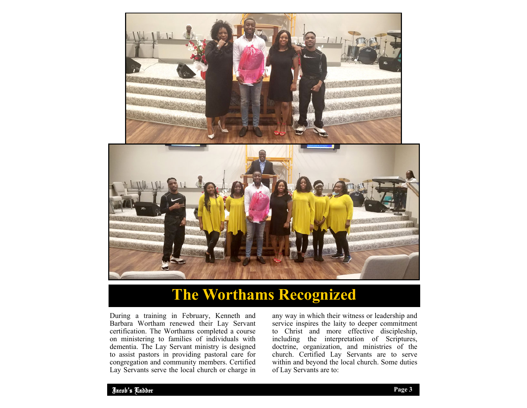

## **The Worthams Recognized**

During a training in February, Kenneth and Barbara Wortham renewed their Lay Servant certification. The Worthams completed a course on ministering to families of individuals with dementia. The Lay Servant ministry is designed to assist pastors in providing pastoral care for congregation and community members. Certified Lay Servants serve the local church or charge in

any way in which their witness or leadership and service inspires the laity to deeper commitment to Christ and more effective discipleship, including the interpretation of Scriptures, doctrine, organization, and ministries of the church. Certified Lay Servants are to serve within and beyond the local church. Some duties of Lay Servants are to: